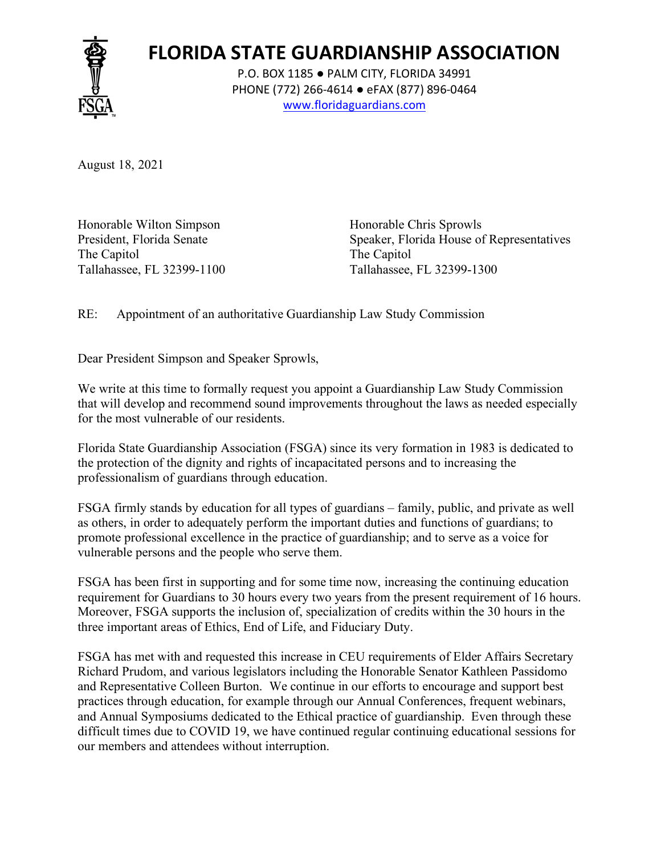

## **FLORIDA STATE GUARDIANSHIP ASSOCIATION**

P.O. BOX 1185 ● PALM CITY, FLORIDA 34991 PHONE (772) 266-4614 ● eFAX (877) 896-0464 www.floridaguardians.com

August 18, 2021

Honorable Wilton Simpson Honorable Chris Sprowls The Capitol The Capitol Tallahassee, FL 32399-1100 Tallahassee, FL 32399-1300

President, Florida Senate Speaker, Florida House of Representatives

RE: Appointment of an authoritative Guardianship Law Study Commission

Dear President Simpson and Speaker Sprowls,

We write at this time to formally request you appoint a Guardianship Law Study Commission that will develop and recommend sound improvements throughout the laws as needed especially for the most vulnerable of our residents.

Florida State Guardianship Association (FSGA) since its very formation in 1983 is dedicated to the protection of the dignity and rights of incapacitated persons and to increasing the professionalism of guardians through education.

FSGA firmly stands by education for all types of guardians – family, public, and private as well as others, in order to adequately perform the important duties and functions of guardians; to promote professional excellence in the practice of guardianship; and to serve as a voice for vulnerable persons and the people who serve them.

FSGA has been first in supporting and for some time now, increasing the continuing education requirement for Guardians to 30 hours every two years from the present requirement of 16 hours. Moreover, FSGA supports the inclusion of, specialization of credits within the 30 hours in the three important areas of Ethics, End of Life, and Fiduciary Duty.

FSGA has met with and requested this increase in CEU requirements of Elder Affairs Secretary Richard Prudom, and various legislators including the Honorable Senator Kathleen Passidomo and Representative Colleen Burton. We continue in our efforts to encourage and support best practices through education, for example through our Annual Conferences, frequent webinars, and Annual Symposiums dedicated to the Ethical practice of guardianship. Even through these difficult times due to COVID 19, we have continued regular continuing educational sessions for our members and attendees without interruption.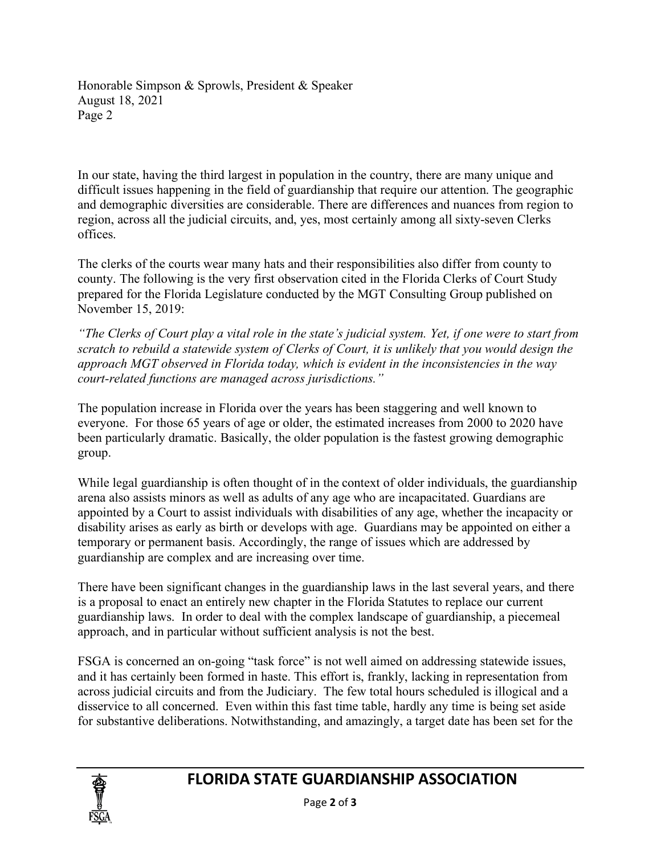Honorable Simpson & Sprowls, President & Speaker August 18, 2021 Page 2

In our state, having the third largest in population in the country, there are many unique and difficult issues happening in the field of guardianship that require our attention. The geographic and demographic diversities are considerable. There are differences and nuances from region to region, across all the judicial circuits, and, yes, most certainly among all sixty-seven Clerks offices.

The clerks of the courts wear many hats and their responsibilities also differ from county to county. The following is the very first observation cited in the Florida Clerks of Court Study prepared for the Florida Legislature conducted by the MGT Consulting Group published on November 15, 2019:

*"The Clerks of Court play a vital role in the state's judicial system. Yet, if one were to start from scratch to rebuild a statewide system of Clerks of Court, it is unlikely that you would design the approach MGT observed in Florida today, which is evident in the inconsistencies in the way court-related functions are managed across jurisdictions."*

The population increase in Florida over the years has been staggering and well known to everyone. For those 65 years of age or older, the estimated increases from 2000 to 2020 have been particularly dramatic. Basically, the older population is the fastest growing demographic group.

While legal guardianship is often thought of in the context of older individuals, the guardianship arena also assists minors as well as adults of any age who are incapacitated. Guardians are appointed by a Court to assist individuals with disabilities of any age, whether the incapacity or disability arises as early as birth or develops with age. Guardians may be appointed on either a temporary or permanent basis. Accordingly, the range of issues which are addressed by guardianship are complex and are increasing over time.

There have been significant changes in the guardianship laws in the last several years, and there is a proposal to enact an entirely new chapter in the Florida Statutes to replace our current guardianship laws. In order to deal with the complex landscape of guardianship, a piecemeal approach, and in particular without sufficient analysis is not the best.

FSGA is concerned an on-going "task force" is not well aimed on addressing statewide issues, and it has certainly been formed in haste. This effort is, frankly, lacking in representation from across judicial circuits and from the Judiciary. The few total hours scheduled is illogical and a disservice to all concerned. Even within this fast time table, hardly any time is being set aside for substantive deliberations. Notwithstanding, and amazingly, a target date has been set for the